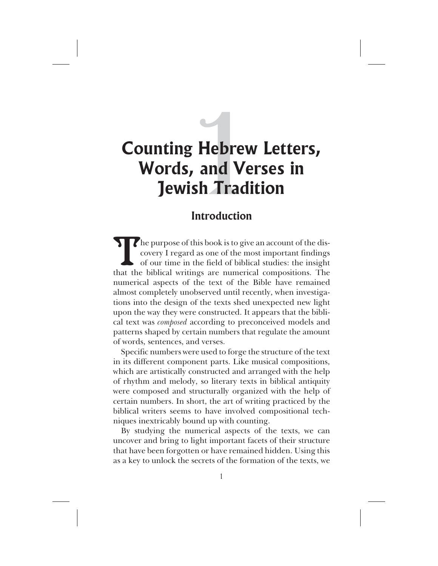# **Counting Hebrew Letters, Words, and Verses in Jewish Tradition**

### **Introduction**

 $\blacksquare$  The purpose of this book is to give an account of the discovery I regard as one of the most important findings of our time in the field of biblical studies: the insight that the biblical writings are numerical compositions. The numerical aspects of the text of the Bible have remained almost completely unobserved until recently, when investigations into the design of the texts shed unexpected new light upon the way they were constructed. It appears that the biblical text was *composed* according to preconceived models and patterns shaped by certain numbers that regulate the amount of words, sentences, and verses.

Specific numbers were used to forge the structure of the text in its different component parts. Like musical compositions, which are artistically constructed and arranged with the help of rhythm and melody, so literary texts in biblical antiquity were composed and structurally organized with the help of certain numbers. In short, the art of writing practiced by the biblical writers seems to have involved compositional techniques inextricably bound up with counting.

By studying the numerical aspects of the texts, we can uncover and bring to light important facets of their structure that have been forgotten or have remained hidden. Using this as a key to unlock the secrets of the formation of the texts, we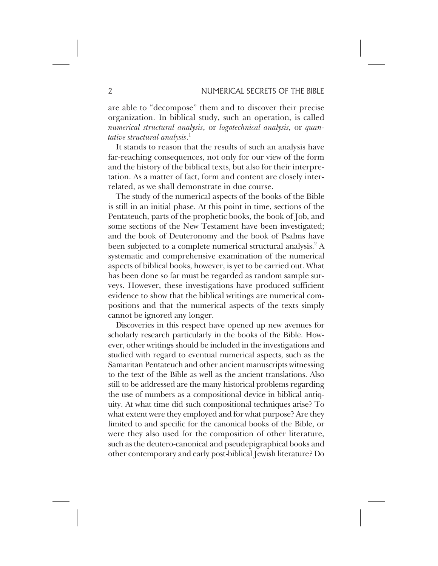are able to "decompose" them and to discover their precise organization. In biblical study, such an operation, is called *numerical structural analysis*, or *logotechnical analysis,* or *quantative structural analysis*. 1

It stands to reason that the results of such an analysis have far-reaching consequences, not only for our view of the form and the history of the biblical texts, but also for their interpretation. As a matter of fact, form and content are closely interrelated, as we shall demonstrate in due course.

The study of the numerical aspects of the books of the Bible is still in an initial phase. At this point in time, sections of the Pentateuch, parts of the prophetic books, the book of Job, and some sections of the New Testament have been investigated; and the book of Deuteronomy and the book of Psalms have been subjected to a complete numerical structural analysis.<sup>2</sup> A systematic and comprehensive examination of the numerical aspects of biblical books, however, is yet to be carried out. What has been done so far must be regarded as random sample surveys. However, these investigations have produced sufficient evidence to show that the biblical writings are numerical compositions and that the numerical aspects of the texts simply cannot be ignored any longer.

Discoveries in this respect have opened up new avenues for scholarly research particularly in the books of the Bible. However, other writings should be included in the investigations and studied with regard to eventual numerical aspects, such as the Samaritan Pentateuch and other ancient manuscripts witnessing to the text of the Bible as well as the ancient translations. Also still to be addressed are the many historical problems regarding the use of numbers as a compositional device in biblical antiquity. At what time did such compositional techniques arise? To what extent were they employed and for what purpose? Are they limited to and specific for the canonical books of the Bible, or were they also used for the composition of other literature, such as the deutero-canonical and pseudepigraphical books and other contemporary and early post-biblical Jewish literature? Do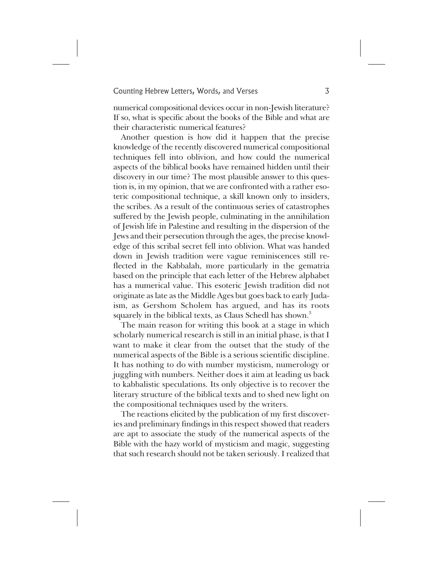numerical compositional devices occur in non-Jewish literature? If so, what is specific about the books of the Bible and what are their characteristic numerical features?

Another question is how did it happen that the precise knowledge of the recently discovered numerical compositional techniques fell into oblivion, and how could the numerical aspects of the biblical books have remained hidden until their discovery in our time? The most plausible answer to this question is, in my opinion, that we are confronted with a rather esoteric compositional technique, a skill known only to insiders, the scribes. As a result of the continuous series of catastrophes suffered by the Jewish people, culminating in the annihilation of Jewish life in Palestine and resulting in the dispersion of the Jews and their persecution through the ages, the precise knowledge of this scribal secret fell into oblivion. What was handed down in Jewish tradition were vague reminiscences still reflected in the Kabbalah, more particularly in the gematria based on the principle that each letter of the Hebrew alphabet has a numerical value. This esoteric Jewish tradition did not originate as late as the Middle Ages but goes back to early Judaism, as Gershom Scholem has argued, and has its roots squarely in the biblical texts, as Claus Schedl has shown.<sup>3</sup>

The main reason for writing this book at a stage in which scholarly numerical research is still in an initial phase, is that I want to make it clear from the outset that the study of the numerical aspects of the Bible is a serious scientific discipline. It has nothing to do with number mysticism, numerology or juggling with numbers. Neither does it aim at leading us back to kabbalistic speculations. Its only objective is to recover the literary structure of the biblical texts and to shed new light on the compositional techniques used by the writers.

The reactions elicited by the publication of my first discoveries and preliminary findings in this respect showed that readers are apt to associate the study of the numerical aspects of the Bible with the hazy world of mysticism and magic, suggesting that such research should not be taken seriously. I realized that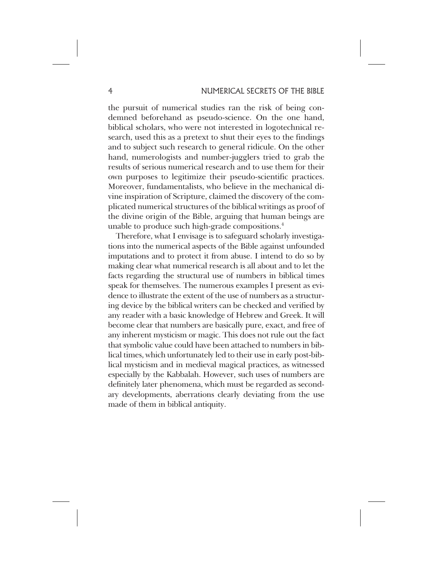the pursuit of numerical studies ran the risk of being condemned beforehand as pseudo-science. On the one hand, biblical scholars, who were not interested in logotechnical research, used this as a pretext to shut their eyes to the findings and to subject such research to general ridicule. On the other hand, numerologists and number-jugglers tried to grab the results of serious numerical research and to use them for their own purposes to legitimize their pseudo-scientific practices. Moreover, fundamentalists, who believe in the mechanical divine inspiration of Scripture, claimed the discovery of the complicated numerical structures of the biblical writings as proof of the divine origin of the Bible, arguing that human beings are unable to produce such high-grade compositions.<sup>4</sup>

Therefore, what I envisage is to safeguard scholarly investigations into the numerical aspects of the Bible against unfounded imputations and to protect it from abuse. I intend to do so by making clear what numerical research is all about and to let the facts regarding the structural use of numbers in biblical times speak for themselves. The numerous examples I present as evidence to illustrate the extent of the use of numbers as a structuring device by the biblical writers can be checked and verified by any reader with a basic knowledge of Hebrew and Greek. It will become clear that numbers are basically pure, exact, and free of any inherent mysticism or magic. This does not rule out the fact that symbolic value could have been attached to numbers in biblical times, which unfortunately led to their use in early post-biblical mysticism and in medieval magical practices, as witnessed especially by the Kabbalah. However, such uses of numbers are definitely later phenomena, which must be regarded as secondary developments, aberrations clearly deviating from the use made of them in biblical antiquity.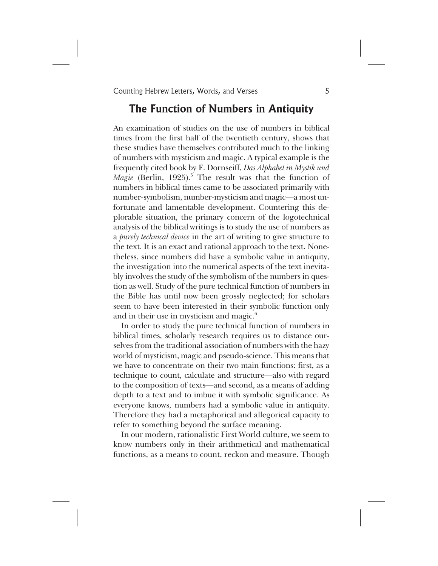### **The Function of Numbers in Antiquity**

An examination of studies on the use of numbers in biblical times from the first half of the twentieth century, shows that these studies have themselves contributed much to the linking of numbers with mysticism and magic. A typical example is the frequently cited book by F. Dornseiff, *Das Alphabet in Mystik und Magie* (Berlin, 1925).<sup>5</sup> The result was that the function of numbers in biblical times came to be associated primarily with number-symbolism, number-mysticism and magic—a most unfortunate and lamentable development. Countering this deplorable situation, the primary concern of the logotechnical analysis of the biblical writings is to study the use of numbers as a *purely technical device* in the art of writing to give structure to the text. It is an exact and rational approach to the text. Nonetheless, since numbers did have a symbolic value in antiquity, the investigation into the numerical aspects of the text inevitably involves the study of the symbolism of the numbers in question as well. Study of the pure technical function of numbers in the Bible has until now been grossly neglected; for scholars seem to have been interested in their symbolic function only and in their use in mysticism and magic. $6\%$ 

In order to study the pure technical function of numbers in biblical times, scholarly research requires us to distance ourselves from the traditional association of numbers with the hazy world of mysticism, magic and pseudo-science. This means that we have to concentrate on their two main functions: first, as a technique to count, calculate and structure—also with regard to the composition of texts—and second, as a means of adding depth to a text and to imbue it with symbolic significance. As everyone knows, numbers had a symbolic value in antiquity. Therefore they had a metaphorical and allegorical capacity to refer to something beyond the surface meaning.

In our modern, rationalistic First World culture, we seem to know numbers only in their arithmetical and mathematical functions, as a means to count, reckon and measure. Though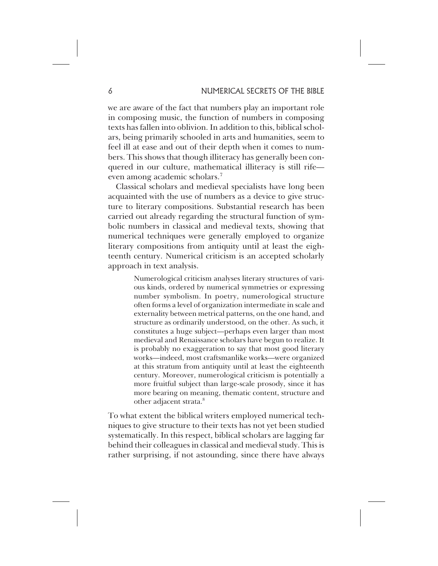we are aware of the fact that numbers play an important role in composing music, the function of numbers in composing texts has fallen into oblivion. In addition to this, biblical scholars, being primarily schooled in arts and humanities, seem to feel ill at ease and out of their depth when it comes to numbers. This shows that though illiteracy has generally been conquered in our culture, mathematical illiteracy is still rife even among academic scholars.<sup>7</sup>

Classical scholars and medieval specialists have long been acquainted with the use of numbers as a device to give structure to literary compositions. Substantial research has been carried out already regarding the structural function of symbolic numbers in classical and medieval texts, showing that numerical techniques were generally employed to organize literary compositions from antiquity until at least the eighteenth century. Numerical criticism is an accepted scholarly approach in text analysis.

> Numerological criticism analyses literary structures of various kinds, ordered by numerical symmetries or expressing number symbolism. In poetry, numerological structure often forms a level of organization intermediate in scale and externality between metrical patterns, on the one hand, and structure as ordinarily understood, on the other. As such, it constitutes a huge subject—perhaps even larger than most medieval and Renaissance scholars have begun to realize. It is probably no exaggeration to say that most good literary works—indeed, most craftsmanlike works—were organized at this stratum from antiquity until at least the eighteenth century. Moreover, numerological criticism is potentially a more fruitful subject than large-scale prosody, since it has more bearing on meaning, thematic content, structure and other adjacent strata.<sup>8</sup>

To what extent the biblical writers employed numerical techniques to give structure to their texts has not yet been studied systematically. In this respect, biblical scholars are lagging far behind their colleagues in classical and medieval study. This is rather surprising, if not astounding, since there have always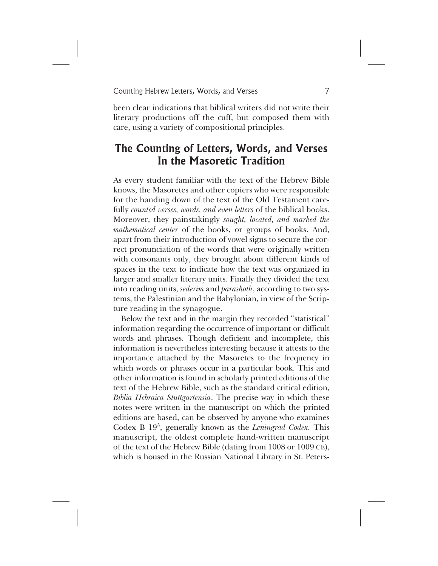been clear indications that biblical writers did not write their literary productions off the cuff, but composed them with care, using a variety of compositional principles.

### **The Counting of Letters, Words, and Verses In the Masoretic Tradition**

As every student familiar with the text of the Hebrew Bible knows, the Masoretes and other copiers who were responsible for the handing down of the text of the Old Testament carefully *counted verses, words, and even letters* of the biblical books. Moreover, they painstakingly *sought, located, and marked the mathematical center* of the books, or groups of books. And, apart from their introduction of vowel signs to secure the correct pronunciation of the words that were originally written with consonants only, they brought about different kinds of spaces in the text to indicate how the text was organized in larger and smaller literary units. Finally they divided the text into reading units, *sederim* and *parashoth*, according to two systems, the Palestinian and the Babylonian, in view of the Scripture reading in the synagogue.

Below the text and in the margin they recorded "statistical" information regarding the occurrence of important or difficult words and phrases. Though deficient and incomplete, this information is nevertheless interesting because it attests to the importance attached by the Masoretes to the frequency in which words or phrases occur in a particular book. This and other information is found in scholarly printed editions of the text of the Hebrew Bible, such as the standard critical edition, *Biblia Hebraica Stuttgartensia*. The precise way in which these notes were written in the manuscript on which the printed editions are based, can be observed by anyone who examines Codex B 19A , generally known as the *Leningrad Codex.* This manuscript, the oldest complete hand-written manuscript of the text of the Hebrew Bible (dating from 1008 or 1009 CE), which is housed in the Russian National Library in St. Peters-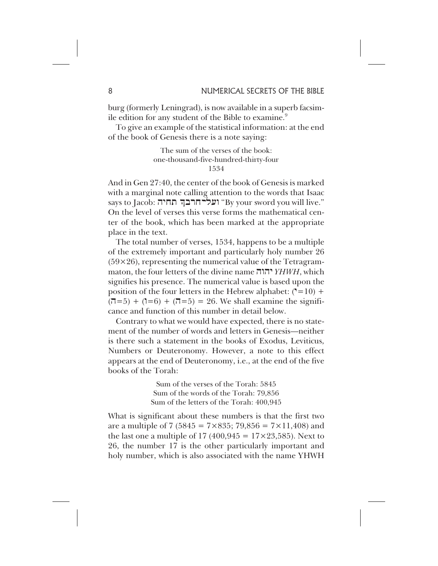burg (formerly Leningrad), is now available in a superb facsimile edition for any student of the Bible to examine.<sup>9</sup>

To give an example of the statistical information: at the end of the book of Genesis there is a note saying:

> The sum of the verses of the book: one-thousand-five-hundred-thirty-four 1534

And in Gen 27:40, the center of the book of Genesis is marked with a marginal note calling attention to the words that Isaac says to Jacob: **ועל־חרבה תחיה** "By your sword you will live." On the level of verses this verse forms the mathematical center of the book, which has been marked at the appropriate place in the text.

The total number of verses, 1534, happens to be a multiple of the extremely important and particularly holy number 26  $(59\times26)$ , representing the numerical value of the Tetragrammaton, the four letters of the divine name **HVHY** *YHWH*, which signifies his presence. The numerical value is based upon the position of the four letters in the Hebrew alphabet:  $(2-10)$  +  $(\Pi=5) + (\Pi=6) + (\Pi=5) = 26$ . We shall examine the significance and function of this number in detail below.

Contrary to what we would have expected, there is no statement of the number of words and letters in Genesis—neither is there such a statement in the books of Exodus, Leviticus, Numbers or Deuteronomy. However, a note to this effect appears at the end of Deuteronomy, i.e., at the end of the five books of the Torah:

> Sum of the verses of the Torah: 5845 Sum of the words of the Torah: 79,856 Sum of the letters of the Torah: 400,945

What is significant about these numbers is that the first two are a multiple of 7 (5845 =  $7 \times 835$ ; 79,856 =  $7 \times 11,408$ ) and the last one a multiple of 17 (400,945 =  $17 \times 23,585$ ). Next to 26, the number 17 is the other particularly important and holy number, which is also associated with the name YHWH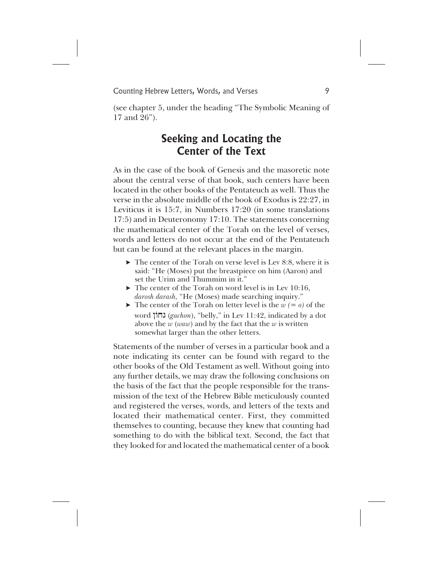(see chapter 5, under the heading "The Symbolic Meaning of 17 and 26").

# **Seeking and Locating the Center of the Text**

As in the case of the book of Genesis and the masoretic note about the central verse of that book, such centers have been located in the other books of the Pentateuch as well. Thus the verse in the absolute middle of the book of Exodus is 22:27, in Leviticus it is 15:7, in Numbers 17:20 (in some translations 17:5) and in Deuteronomy 17:10. The statements concerning the mathematical center of the Torah on the level of verses, words and letters do not occur at the end of the Pentateuch but can be found at the relevant places in the margin.

- The center of the Torah on verse level is Lev 8:8, where it is said: "He (Moses) put the breastpiece on him (Aaron) and set the Urim and Thummim in it."
- $\blacktriangleright$  The center of the Torah on word level is in Lev 10:16, *darosh darash,* "He (Moses) made searching inquiry."
- $\triangleright$  The center of the Torah on letter level is the *w* (= *o*) of the word  $\overline{\text{C}}$  (*gachon*), "belly," in Lev 11:42, indicated by a dot above the *w* (*waw*) and by the fact that the *w* is written somewhat larger than the other letters.

Statements of the number of verses in a particular book and a note indicating its center can be found with regard to the other books of the Old Testament as well. Without going into any further details, we may draw the following conclusions on the basis of the fact that the people responsible for the transmission of the text of the Hebrew Bible meticulously counted and registered the verses, words, and letters of the texts and located their mathematical center. First, they committed themselves to counting, because they knew that counting had something to do with the biblical text. Second, the fact that they looked for and located the mathematical center of a book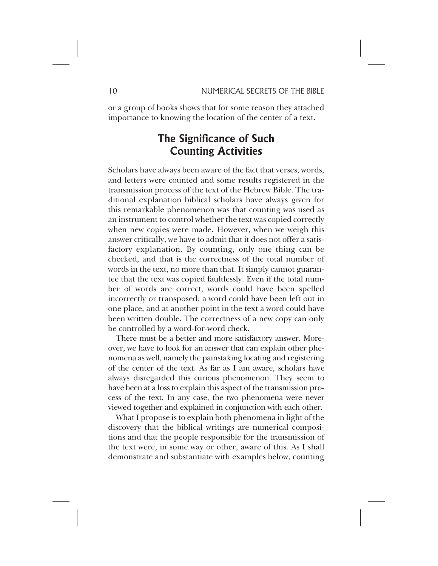or a group of books shows that for some reason they attached importance to knowing the location of the center of a text.

## **The Significance of Such Counting Activities**

Scholars have always been aware of the fact that verses, words, and letters were counted and some results registered in the transmission process of the text of the Hebrew Bible. The traditional explanation biblical scholars have always given for this remarkable phenomenon was that counting was used as an instrument to control whether the text was copied correctly when new copies were made. However, when we weigh this answer critically, we have to admit that it does not offer a satisfactory explanation. By counting, only one thing can be checked, and that is the correctness of the total number of words in the text, no more than that. It simply cannot guarantee that the text was copied faultlessly. Even if the total number of words are correct, words could have been spelled incorrectly or transposed; a word could have been left out in one place, and at another point in the text a word could have been written double. The correctness of a new copy can only be controlled by a word-for-word check.

There must be a better and more satisfactory answer. Moreover, we have to look for an answer that can explain other phenomena as well, namely the painstaking locating and registering of the center of the text. As far as I am aware, scholars have always disregarded this curious phenomenon. They seem to have been at a loss to explain this aspect of the transmission process of the text. In any case, the two phenomena were never viewed together and explained in conjunction with each other.

What I propose is to explain both phenomena in light of the discovery that the biblical writings are numerical compositions and that the people responsible for the transmission of the text were, in some way or other, aware of this. As I shall demonstrate and substantiate with examples below, counting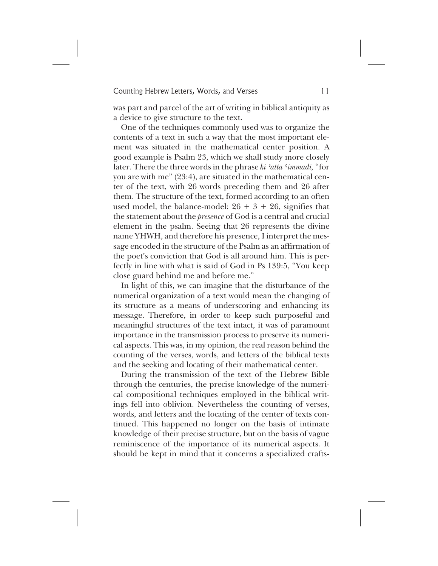was part and parcel of the art of writing in biblical antiquity as a device to give structure to the text.

One of the techniques commonly used was to organize the contents of a text in such a way that the most important element was situated in the mathematical center position. A good example is Psalm 23, which we shall study more closely later. There the three words in the phrase *ki 'atta 'immadi*, "for you are with me" (23:4), are situated in the mathematical center of the text, with 26 words preceding them and 26 after them. The structure of the text, formed according to an often used model, the balance-model:  $26 + 3 + 26$ , signifies that the statement about the *presence* of God is a central and crucial element in the psalm. Seeing that 26 represents the divine name YHWH, and therefore his presence, I interpret the message encoded in the structure of the Psalm as an affirmation of the poet's conviction that God is all around him. This is perfectly in line with what is said of God in Ps 139:5, "You keep close guard behind me and before me."

In light of this, we can imagine that the disturbance of the numerical organization of a text would mean the changing of its structure as a means of underscoring and enhancing its message. Therefore, in order to keep such purposeful and meaningful structures of the text intact, it was of paramount importance in the transmission process to preserve its numerical aspects. This was, in my opinion, the real reason behind the counting of the verses, words, and letters of the biblical texts and the seeking and locating of their mathematical center.

During the transmission of the text of the Hebrew Bible through the centuries, the precise knowledge of the numerical compositional techniques employed in the biblical writings fell into oblivion. Nevertheless the counting of verses, words, and letters and the locating of the center of texts continued. This happened no longer on the basis of intimate knowledge of their precise structure, but on the basis of vague reminiscence of the importance of its numerical aspects. It should be kept in mind that it concerns a specialized crafts-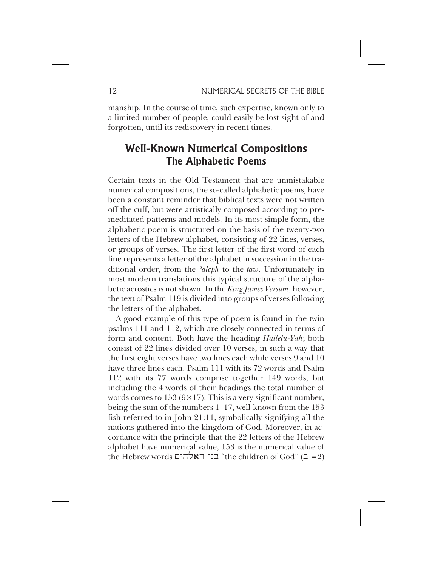manship. In the course of time, such expertise, known only to a limited number of people, could easily be lost sight of and forgotten, until its rediscovery in recent times.

### **Well-Known Numerical Compositions The Alphabetic Poems**

Certain texts in the Old Testament that are unmistakable numerical compositions, the so-called alphabetic poems, have been a constant reminder that biblical texts were not written off the cuff, but were artistically composed according to premeditated patterns and models. In its most simple form, the alphabetic poem is structured on the basis of the twenty-two letters of the Hebrew alphabet, consisting of 22 lines, verses, or groups of verses. The first letter of the first word of each line represents a letter of the alphabet in succession in the traditional order, from the *'aleph* to the *taw*. Unfortunately in most modern translations this typical structure of the alphabetic acrostics is not shown. In the *King James Version*, however, the text of Psalm 119 is divided into groups of verses following the letters of the alphabet.

A good example of this type of poem is found in the twin psalms 111 and 112, which are closely connected in terms of form and content. Both have the heading *Hallelu-Yah*; both consist of 22 lines divided over 10 verses, in such a way that the first eight verses have two lines each while verses 9 and 10 have three lines each. Psalm 111 with its 72 words and Psalm 112 with its 77 words comprise together 149 words, but including the 4 words of their headings the total number of words comes to 153 ( $9 \times 17$ ). This is a very significant number, being the sum of the numbers 1–17, well-known from the 153 fish referred to in John 21:11, symbolically signifying all the nations gathered into the kingdom of God. Moreover, in accordance with the principle that the 22 letters of the Hebrew alphabet have numerical value, 153 is the numerical value of the Hebrew words **בני האלהים** "the children of God" (ב $=$ 2)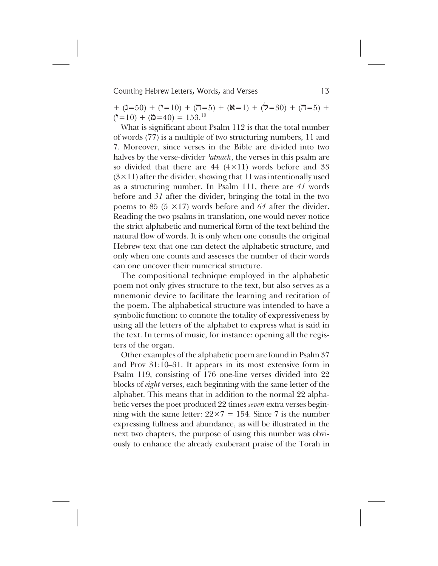$+$  (**1**=50) + (**\***=10) + (**\***=5) + (**\***=1) + (**\***=30) + (\***\***=5) +  $(7=10) + (2=40) = 153.<sup>10</sup>$ 

What is significant about Psalm 112 is that the total number of words (77) is a multiple of two structuring numbers, 11 and 7. Moreover, since verses in the Bible are divided into two halves by the verse-divider *'atnach*, the verses in this psalm are so divided that there are  $44 \left(4 \times 11\right)$  words before and 33  $(3\times11)$  after the divider, showing that 11 was intentionally used as a structuring number. In Psalm 111, there are *41* words before and *31* after the divider, bringing the total in the two poems to 85 (5 ×17) words before and *64* after the divider. Reading the two psalms in translation, one would never notice the strict alphabetic and numerical form of the text behind the natural flow of words. It is only when one consults the original Hebrew text that one can detect the alphabetic structure, and only when one counts and assesses the number of their words can one uncover their numerical structure.

The compositional technique employed in the alphabetic poem not only gives structure to the text, but also serves as a mnemonic device to facilitate the learning and recitation of the poem. The alphabetical structure was intended to have a symbolic function: to connote the totality of expressiveness by using all the letters of the alphabet to express what is said in the text. In terms of music, for instance: opening all the registers of the organ.

Other examples of the alphabetic poem are found in Psalm 37 and Prov 31:10–31. It appears in its most extensive form in Psalm 119, consisting of 176 one-line verses divided into 22 blocks of *eight* verses, each beginning with the same letter of the alphabet. This means that in addition to the normal 22 alphabetic verses the poet produced 22 times *seven* extra verses beginning with the same letter:  $22\times7 = 154$ . Since 7 is the number expressing fullness and abundance, as will be illustrated in the next two chapters, the purpose of using this number was obviously to enhance the already exuberant praise of the Torah in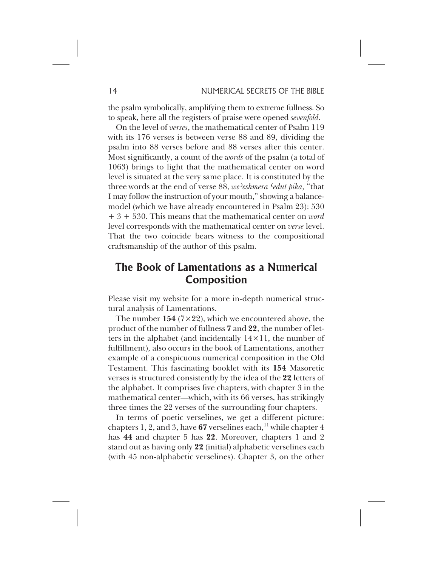the psalm symbolically, amplifying them to extreme fullness. So to speak, here all the registers of praise were opened *sevenfold*.

On the level of *verses*, the mathematical center of Psalm 119 with its 176 verses is between verse 88 and 89, dividing the psalm into 88 verses before and 88 verses after this center. Most significantly, a count of the *words* of the psalm (a total of 1063) brings to light that the mathematical center on word level is situated at the very same place. It is constituted by the three words at the end of verse 88, *we eshmera cedut pika*, "that I may follow the instruction of your mouth," showing a balancemodel (which we have already encountered in Psalm 23): 530 + 3 + 530. This means that the mathematical center on *word* level corresponds with the mathematical center on *verse* level. That the two coincide bears witness to the compositional craftsmanship of the author of this psalm.

# **The Book of Lamentations as a Numerical Composition**

Please visit my website for a more in-depth numerical structural analysis of Lamentations.

The number  $154$  ( $7 \times 22$ ), which we encountered above, the product of the number of fullness **7** and **22**, the number of letters in the alphabet (and incidentally  $14 \times 11$ , the number of fulfillment), also occurs in the book of Lamentations, another example of a conspicuous numerical composition in the Old Testament. This fascinating booklet with its **154** Masoretic verses is structured consistently by the idea of the **22** letters of the alphabet. It comprises five chapters, with chapter 3 in the mathematical center—which, with its 66 verses, has strikingly three times the 22 verses of the surrounding four chapters.

In terms of poetic verselines, we get a different picture: chapters 1, 2, and 3, have  $67$  verselines each,<sup>11</sup> while chapter 4 has **44** and chapter 5 has **22**. Moreover, chapters 1 and 2 stand out as having only **22** (initial) alphabetic verselines each (with 45 non-alphabetic verselines). Chapter 3, on the other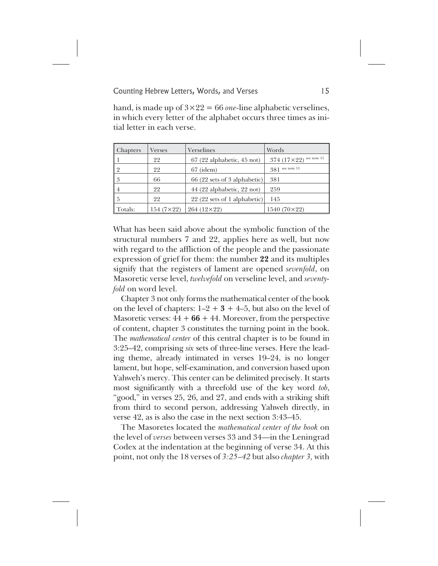hand, is made up of  $3 \times 22 = 66$  *one*-line alphabetic verselines, in which every letter of the alphabet occurs three times as initial letter in each verse.

| Chapters       | Verses              | Verselines                    | Words                            |
|----------------|---------------------|-------------------------------|----------------------------------|
|                | 22                  | $67(22$ alphabetic, $45$ not) | see note 11<br>$374(17\times22)$ |
| $\overline{2}$ | 22                  | $67$ (idem)                   | $381$ see note 11                |
| 3              | 66                  | 66 (22 sets of 3 alphabetic)  | 381                              |
| 4              | 22                  | 44 (22 alphabetic, 22 not)    | 259                              |
| 5              | 22                  | 22 (22 sets of 1 alphabetic)  | 145                              |
| Totals:        | $154 (7 \times 22)$ | $264(12\times22)$             | $1540(70\times22)$               |

What has been said above about the symbolic function of the structural numbers 7 and 22, applies here as well, but now with regard to the affliction of the people and the passionate expression of grief for them: the number **22** and its multiples signify that the registers of lament are opened *sevenfold*, on Masoretic verse level, *twelvefold* on verseline level, and *seventyfold* on word level.

Chapter 3 not only forms the mathematical center of the book on the level of chapters:  $1-2 + 3 + 4-5$ , but also on the level of Masoretic verses:  $44 + 66 + 44$ . Moreover, from the perspective of content, chapter 3 constitutes the turning point in the book. The *mathematical center* of this central chapter is to be found in 3:25–42, comprising *six* sets of three-line verses. Here the leading theme, already intimated in verses 19–24, is no longer lament, but hope, self-examination, and conversion based upon Yahweh's mercy. This center can be delimited precisely. It starts most significantly with a threefold use of the key word *tob*, "good," in verses 25, 26, and 27, and ends with a striking shift from third to second person, addressing Yahweh directly, in verse 42, as is also the case in the next section 3:43–45.

The Masoretes located the *mathematical center of the book* on the level of *verses* between verses 33 and 34—in the Leningrad Codex at the indentation at the beginning of verse 34. At this point, not only the 18 verses of *3:25*–*42* but also *chapter 3,* with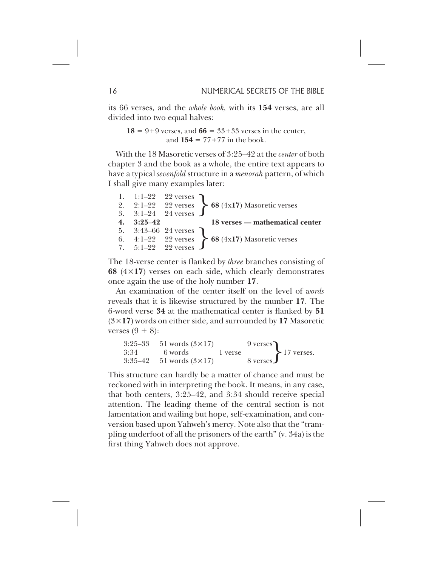its 66 verses, and the *whole book,* with its **154** verses, are all divided into two equal halves:

```
18 = 9 + 9 verses, and 66 = 33 + 33 verses in the center,
            and 154 = 77 + 77 in the book.
```
With the 18 Masoretic verses of 3:25–42 at the *center* of both chapter 3 and the book as a whole, the entire text appears to have a typical *sevenfold* structure in a *menorah* pattern, of which I shall give many examples later:

```
1. 1:1–22 22 verses
2. 2:1–22 22 verses 68 (4x17) Masoretic verses
1. 1:1-22 22 verses<br>
2. 2:1-22 22 verses<br>
3. 3:1-24 24 verses
4. 3:25–42 18 verses — mathematical center
5. 3:43–66 24 verses<br>6. 4:1–22 22 verses
6. 4:1–22 22 verses 68 (4x17) Masoretic verses
7. 5:1–22 22 verses
                         }
```
The 18-verse center is flanked by *three* branches consisting of **68** (4×**17**) verses on each side, which clearly demonstrates once again the use of the holy number **17**.

An examination of the center itself on the level of *words* reveals that it is likewise structured by the number **17**. The 6-word verse **34** at the mathematical center is flanked by **51** (3×**17**) words on either side, and surrounded by **17** Masoretic verses  $(9 + 8)$ :

3:25–33 51 words (3×17) 9 verses 3:34 6 words 1 verse 17 verses. 3:35–42 51 words (3×17) 8 verses }

This structure can hardly be a matter of chance and must be reckoned with in interpreting the book. It means, in any case, that both centers, 3:25–42, and 3:34 should receive special attention. The leading theme of the central section is not lamentation and wailing but hope, self-examination, and conversion based upon Yahweh's mercy. Note also that the "trampling underfoot of all the prisoners of the earth" (v. 34a) is the first thing Yahweh does not approve.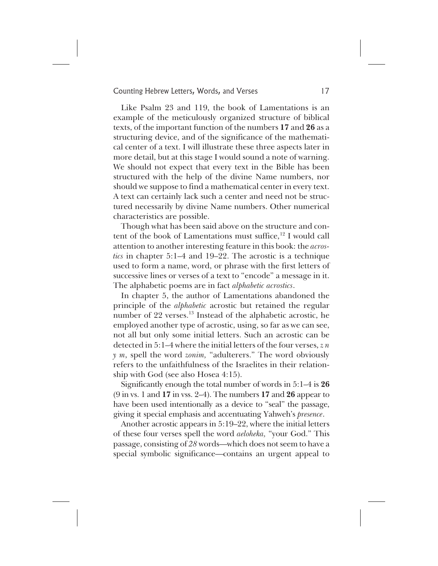Like Psalm 23 and 119, the book of Lamentations is an example of the meticulously organized structure of biblical texts, of the important function of the numbers **17** and **26** as a structuring device, and of the significance of the mathematical center of a text. I will illustrate these three aspects later in more detail, but at this stage I would sound a note of warning. We should not expect that every text in the Bible has been structured with the help of the divine Name numbers, nor should we suppose to find a mathematical center in every text. A text can certainly lack such a center and need not be structured necessarily by divine Name numbers. Other numerical characteristics are possible.

Though what has been said above on the structure and content of the book of Lamentations must suffice,<sup>12</sup> I would call attention to another interesting feature in this book: the *acrostics* in chapter 5:1–4 and 19–22. The acrostic is a technique used to form a name, word, or phrase with the first letters of successive lines or verses of a text to "encode" a message in it. The alphabetic poems are in fact *alphabetic acrostics*.

In chapter 5, the author of Lamentations abandoned the principle of the *alphabetic* acrostic but retained the regular number of 22 verses.<sup>13</sup> Instead of the alphabetic acrostic, he employed another type of acrostic, using, so far as we can see, not all but only some initial letters. Such an acrostic can be detected in 5:1–4 where the initial letters of the four verses, *z n y m*, spell the word *zonim,* "adulterers." The word obviously refers to the unfaithfulness of the Israelites in their relationship with God (see also Hosea 4:15).

Significantly enough the total number of words in 5:1–4 is **26** (9 in vs. 1 and **17** in vss. 2–4). The numbers **17** and **26** appear to have been used intentionally as a device to "seal" the passage, giving it special emphasis and accentuating Yahweh's *presence*.

Another acrostic appears in 5:19–22, where the initial letters of these four verses spell the word *aeloheka,* "your God." This passage, consisting of *28* words—which does not seem to have a special symbolic significance—contains an urgent appeal to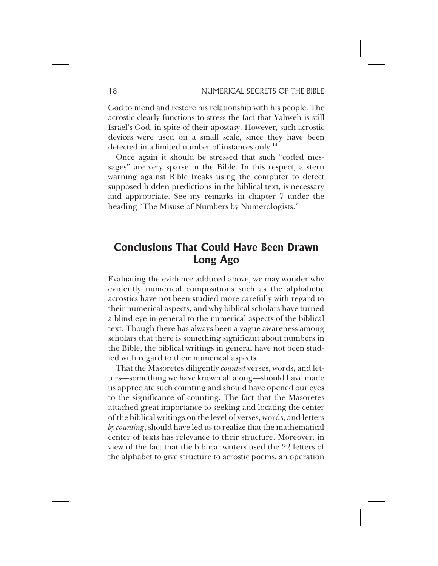God to mend and restore his relationship with his people. The acrostic clearly functions to stress the fact that Yahweh is still Israel's God, in spite of their apostasy. However, such acrostic devices were used on a small scale, since they have been detected in a limited number of instances only.<sup>14</sup>

Once again it should be stressed that such "coded messages" are very sparse in the Bible. In this respect, a stern warning against Bible freaks using the computer to detect supposed hidden predictions in the biblical text, is necessary and appropriate. See my remarks in chapter 7 under the heading "The Misuse of Numbers by Numerologists."

# **Conclusions That Could Have Been Drawn Long Ago**

Evaluating the evidence adduced above, we may wonder why evidently numerical compositions such as the alphabetic acrostics have not been studied more carefully with regard to their numerical aspects, and why biblical scholars have turned a blind eye in general to the numerical aspects of the biblical text. Though there has always been a vague awareness among scholars that there is something significant about numbers in the Bible, the biblical writings in general have not been studied with regard to their numerical aspects.

That the Masoretes diligently *counted* verses, words, and letters—something we have known all along—should have made us appreciate such counting and should have opened our eyes to the significance of counting. The fact that the Masoretes attached great importance to seeking and locating the center of the biblical writings on the level of verses, words, and letters *by counting*, should have led us to realize that the mathematical center of texts has relevance to their structure. Moreover, in view of the fact that the biblical writers used the 22 letters of the alphabet to give structure to acrostic poems, an operation